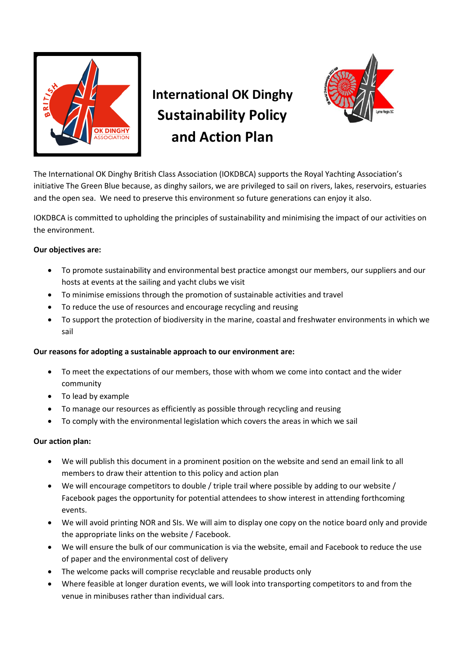

## **International OK Dinghy Sustainability Policy and Action Plan**



The International OK Dinghy British Class Association (IOKDBCA) supports the Royal Yachting Association's initiative The Green Blue because, as dinghy sailors, we are privileged to sail on rivers, lakes, reservoirs, estuaries and the open sea. We need to preserve this environment so future generations can enjoy it also.

IOKDBCA is committed to upholding the principles of sustainability and minimising the impact of our activities on the environment.

## **Our objectives are:**

- To promote sustainability and environmental best practice amongst our members, our suppliers and our hosts at events at the sailing and yacht clubs we visit
- To minimise emissions through the promotion of sustainable activities and travel
- To reduce the use of resources and encourage recycling and reusing
- To support the protection of biodiversity in the marine, coastal and freshwater environments in which we sail

## **Our reasons for adopting a sustainable approach to our environment are:**

- To meet the expectations of our members, those with whom we come into contact and the wider community
- To lead by example
- To manage our resources as efficiently as possible through recycling and reusing
- To comply with the environmental legislation which covers the areas in which we sail

## **Our action plan:**

- We will publish this document in a prominent position on the website and send an email link to all members to draw their attention to this policy and action plan
- We will encourage competitors to double / triple trail where possible by adding to our website / Facebook pages the opportunity for potential attendees to show interest in attending forthcoming events.
- We will avoid printing NOR and SIs. We will aim to display one copy on the notice board only and provide the appropriate links on the website / Facebook.
- We will ensure the bulk of our communication is via the website, email and Facebook to reduce the use of paper and the environmental cost of delivery
- The welcome packs will comprise recyclable and reusable products only
- Where feasible at longer duration events, we will look into transporting competitors to and from the venue in minibuses rather than individual cars.